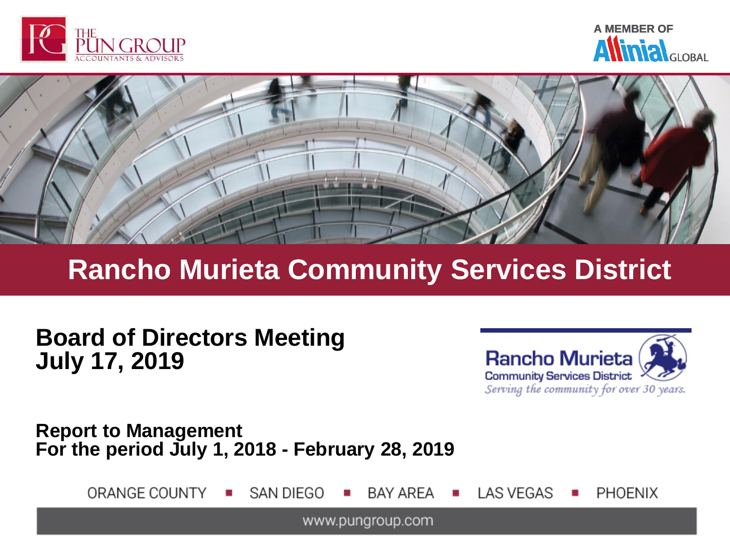





# **Rancho Murieta Community Services District**

**Board of Directors Meeting July 17, 2019**



**Report to Management For the period July 1, 2018 - February 28, 2019**

> ORANGE COUNTY SAN DIEGO **BAY AREA LAS VEGAS PHOENIX**

> > www.pungroup.com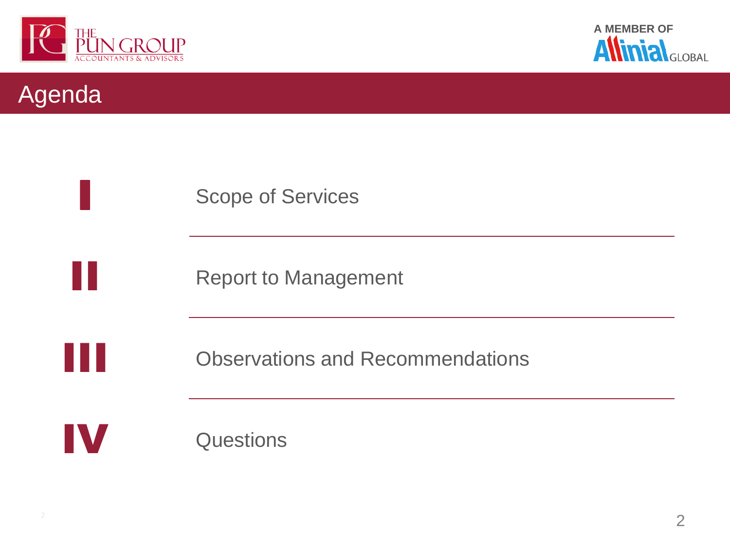





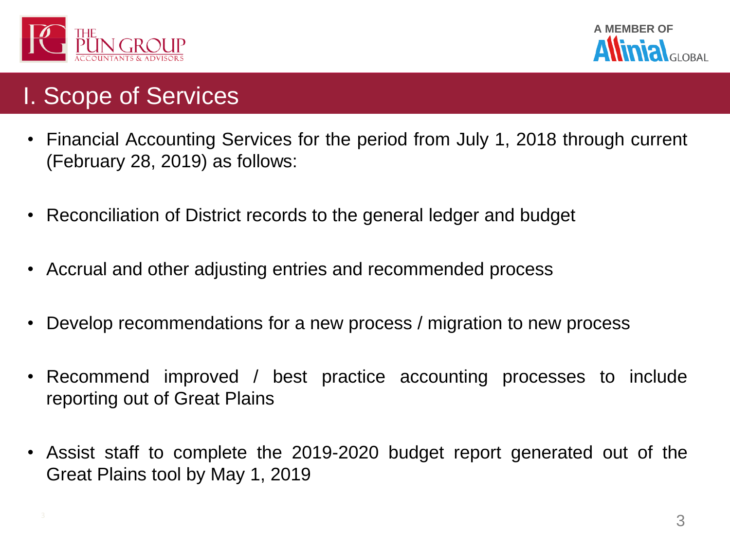



## I. Scope of Services

- Financial Accounting Services for the period from July 1, 2018 through current (February 28, 2019) as follows:
- Reconciliation of District records to the general ledger and budget
- Accrual and other adjusting entries and recommended process
- Develop recommendations for a new process / migration to new process
- Recommend improved / best practice accounting processes to include reporting out of Great Plains
- Assist staff to complete the 2019-2020 budget report generated out of the Great Plains tool by May 1, 2019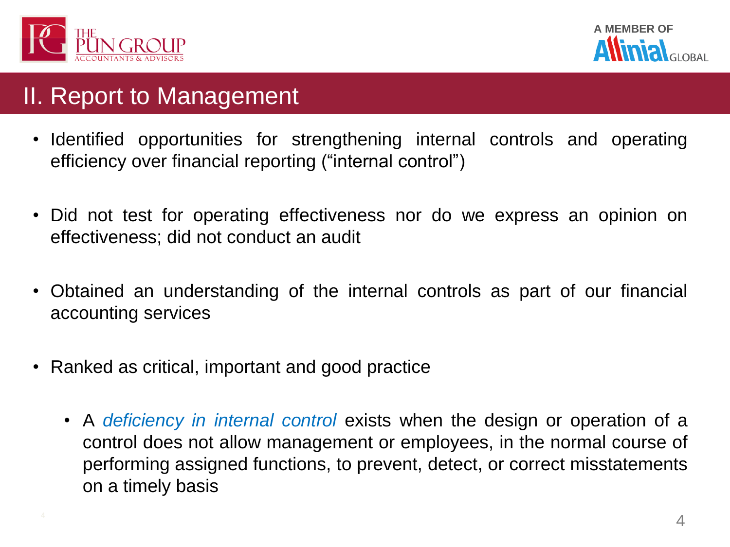

**A MEMBER OF**

## II. Report to Management

- Identified opportunities for strengthening internal controls and operating efficiency over financial reporting ("internal control")
- Did not test for operating effectiveness nor do we express an opinion on effectiveness; did not conduct an audit
- Obtained an understanding of the internal controls as part of our financial accounting services
- Ranked as critical, important and good practice
	- A *deficiency in internal control* exists when the design or operation of a control does not allow management or employees, in the normal course of performing assigned functions, to prevent, detect, or correct misstatements on a timely basis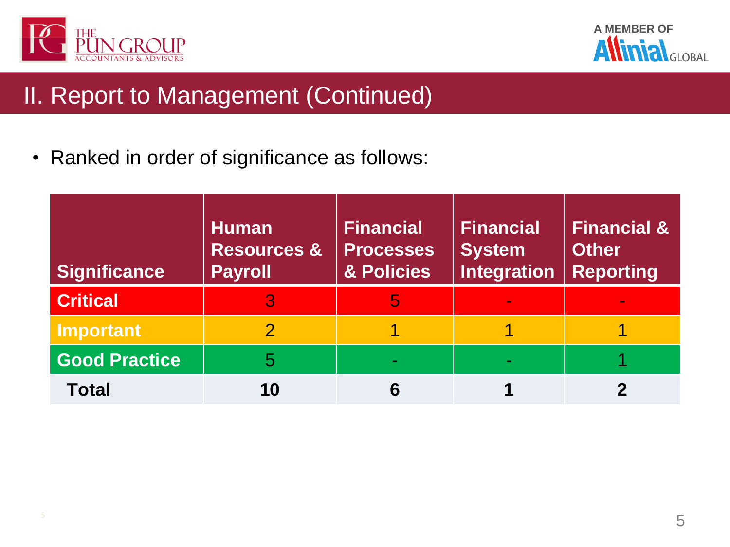

A MEMBER OF **ANTIMER** GLOBAL  $\boldsymbol{\Lambda}$ 

# II. Report to Management (Continued)

• Ranked in order of significance as follows:

| <b>Significance</b>  | <b>Human</b><br><b>Resources &amp;</b><br><b>Payroll</b> | <b>Financial</b><br><b>Processes</b><br>& Policies | <b>Financial</b><br><b>System</b><br><b>Integration</b> | <b>Financial &amp;</b><br><b>Other</b><br><b>Reporting</b> |
|----------------------|----------------------------------------------------------|----------------------------------------------------|---------------------------------------------------------|------------------------------------------------------------|
| <b>Critical</b>      |                                                          | 5                                                  |                                                         |                                                            |
| Important            |                                                          |                                                    |                                                         |                                                            |
| <b>Good Practice</b> | 5                                                        |                                                    |                                                         |                                                            |
| <b>Total</b>         | 10                                                       |                                                    |                                                         |                                                            |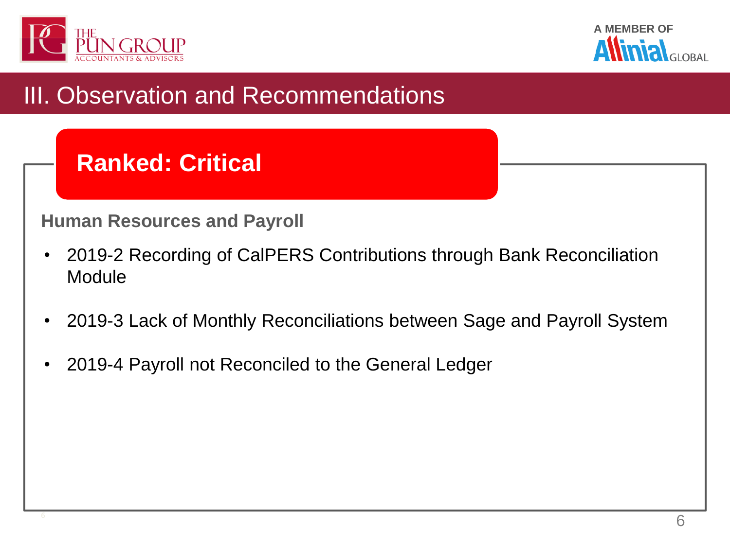



# III. Observation and Recommendations

# **Ranked: Critical**

#### **Human Resources and Payroll**

- 2019-2 Recording of CalPERS Contributions through Bank Reconciliation **Module**
- 2019-3 Lack of Monthly Reconciliations between Sage and Payroll System
- 2019-4 Payroll not Reconciled to the General Ledger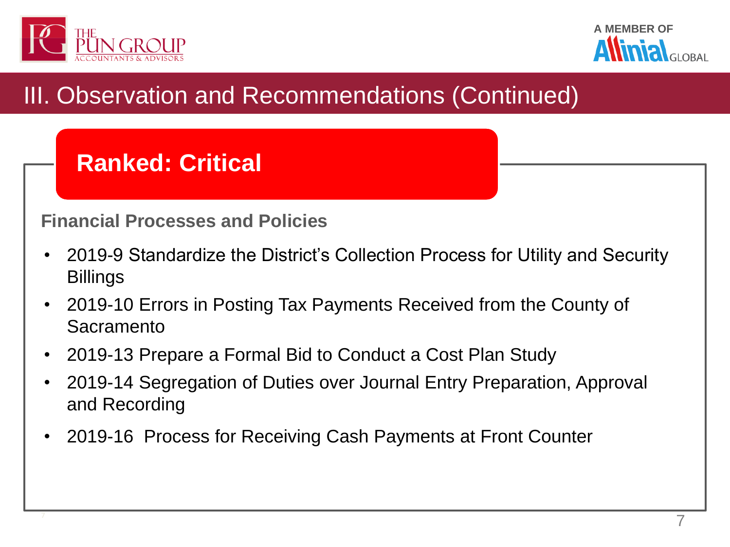



# **Ranked: Critical**

### **Financial Processes and Policies**

- 2019-9 Standardize the District's Collection Process for Utility and Security Billings
- 2019-10 Errors in Posting Tax Payments Received from the County of Sacramento
- 2019-13 Prepare a Formal Bid to Conduct a Cost Plan Study
- 2019-14 Segregation of Duties over Journal Entry Preparation, Approval and Recording
- 2019-16 Process for Receiving Cash Payments at Front Counter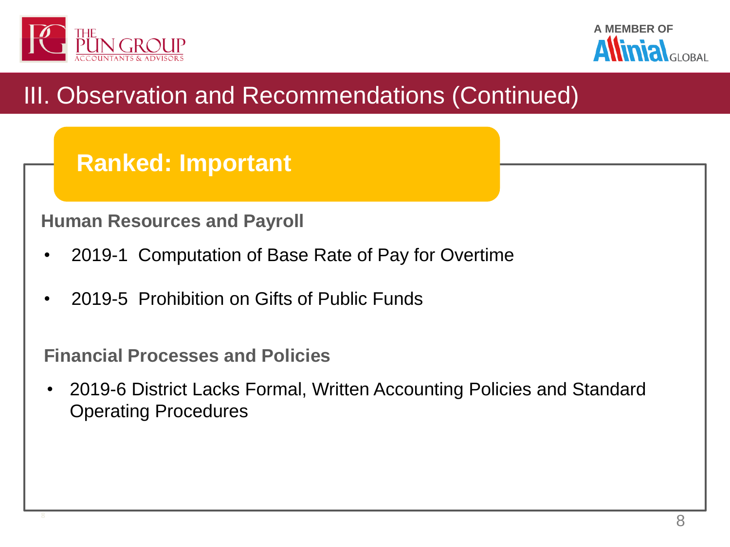

**A MEMBER OF**

# III. Observation and Recommendations (Continued)

## **Ranked: Important**

**Human Resources and Payroll**

- 2019-1 Computation of Base Rate of Pay for Overtime
- 2019-5 Prohibition on Gifts of Public Funds

**Financial Processes and Policies**

• 2019-6 District Lacks Formal, Written Accounting Policies and Standard Operating Procedures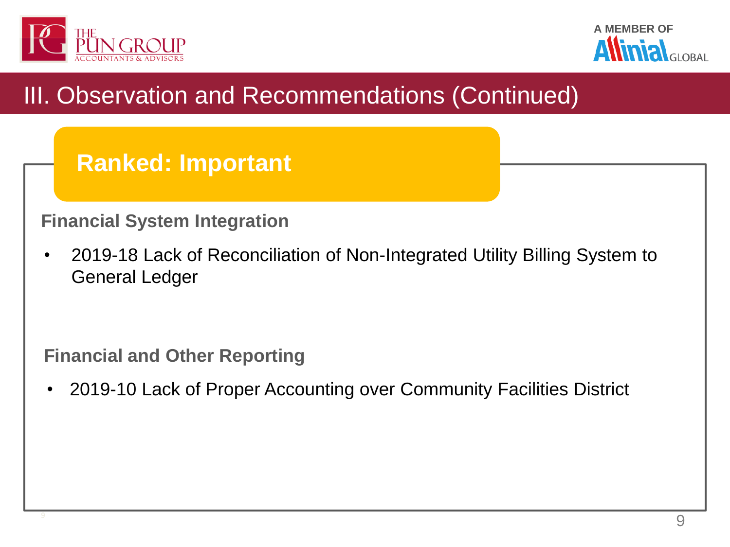



## **Ranked: Important**

### **Financial System Integration**

• 2019-18 Lack of Reconciliation of Non-Integrated Utility Billing System to General Ledger

**Financial and Other Reporting**

• 2019-10 Lack of Proper Accounting over Community Facilities District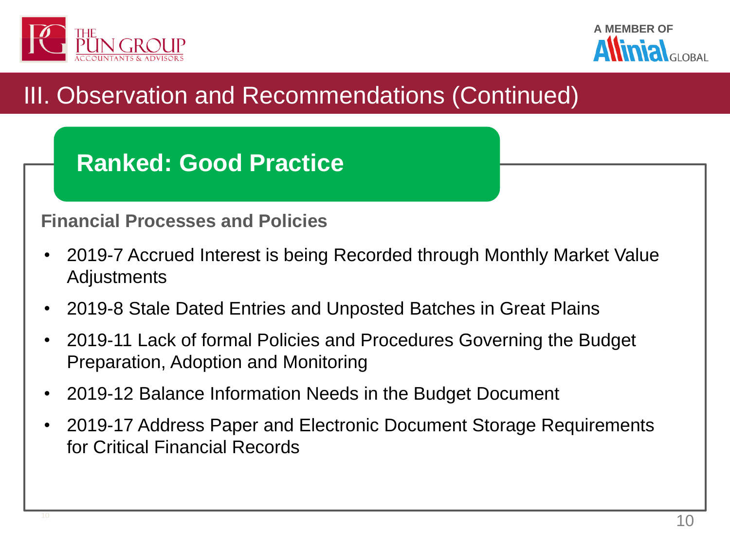



# **Ranked: Good Practice**

#### **Financial Processes and Policies**

- 2019-7 Accrued Interest is being Recorded through Monthly Market Value Adjustments
- 2019-8 Stale Dated Entries and Unposted Batches in Great Plains
- 2019-11 Lack of formal Policies and Procedures Governing the Budget Preparation, Adoption and Monitoring
- 2019-12 Balance Information Needs in the Budget Document
- 2019-17 Address Paper and Electronic Document Storage Requirements for Critical Financial Records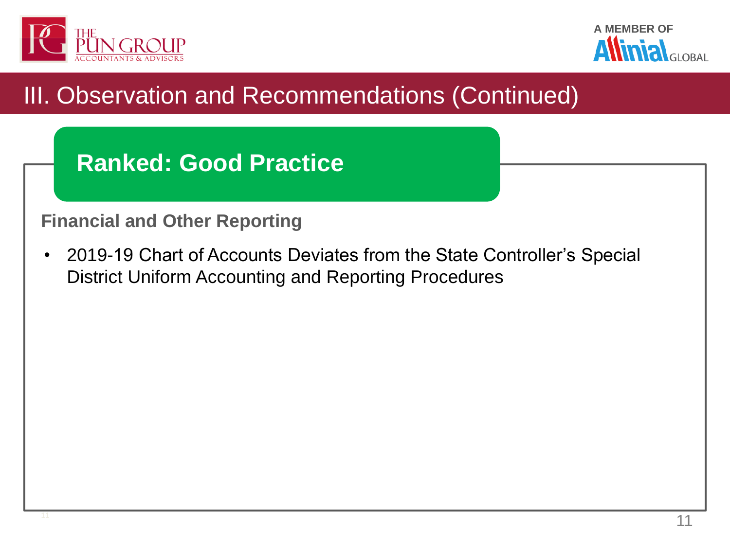





#### **Financial and Other Reporting**

• 2019-19 Chart of Accounts Deviates from the State Controller's Special District Uniform Accounting and Reporting Procedures